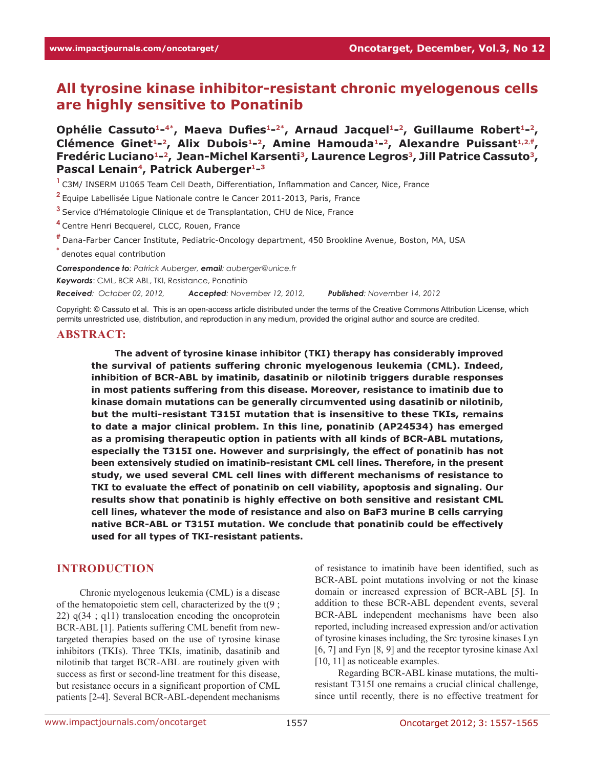# **All tyrosine kinase inhibitor-resistant chronic myelogenous cells are highly sensitive to Ponatinib**

Ophélie Cassuto<sup>1-4\*</sup>, Maeva Dufies<sup>1-2\*</sup>, Arnaud Jacquel<sup>1-2</sup>, Guillaume Robert<sup>1-2</sup>, Clémence Ginet<sup>1</sup>-2, Alix Dubois<sup>1</sup>-2, Amine Hamouda<sup>1-2</sup>, Alexandre Puissant<sup>1,2,#</sup>, **Fredéric Luciano1-2, Jean-Michel Karsenti3, Laurence Legros3, Jill Patrice Cassuto3, Pascal Lenain4, Patrick Auberger1-3**

**<sup>1</sup>**C3M/ INSERM U1065 Team Cell Death, Differentiation, Inflammation and Cancer, Nice, France

**<sup>2</sup>**Equipe Labellisée Ligue Nationale contre le Cancer 2011-2013, Paris, France

**<sup>3</sup>**Service d'Hématologie Clinique et de Transplantation, CHU de Nice, France

**<sup>4</sup>**Centre Henri Becquerel, CLCC, Rouen, France

**#** Dana-Farber Cancer Institute, Pediatric-Oncology department, 450 Brookline Avenue, Boston, MA, USA

**\*** denotes equal contribution

*Correspondence to: Patrick Auberger, email: auberger@unice.fr*

*Keywords*: CML, BCR ABL, TKI, Resistance, Ponatinib

*Received: October 02, 2012, Accepted: November 12, 2012, Published: November 14, 2012*

Copyright: © Cassuto et al. This is an open-access article distributed under the terms of the Creative Commons Attribution License, which permits unrestricted use, distribution, and reproduction in any medium, provided the original author and source are credited.

#### **ABSTRACT:**

**The advent of tyrosine kinase inhibitor (TKI) therapy has considerably improved the survival of patients suffering chronic myelogenous leukemia (CML). Indeed, inhibition of BCR-ABL by imatinib, dasatinib or nilotinib triggers durable responses in most patients suffering from this disease. Moreover, resistance to imatinib due to kinase domain mutations can be generally circumvented using dasatinib or nilotinib, but the multi-resistant T315I mutation that is insensitive to these TKIs, remains to date a major clinical problem. In this line, ponatinib (AP24534) has emerged as a promising therapeutic option in patients with all kinds of BCR-ABL mutations, especially the T315I one. However and surprisingly, the effect of ponatinib has not been extensively studied on imatinib-resistant CML cell lines. Therefore, in the present study, we used several CML cell lines with different mechanisms of resistance to TKI to evaluate the effect of ponatinib on cell viability, apoptosis and signaling. Our results show that ponatinib is highly effective on both sensitive and resistant CML cell lines, whatever the mode of resistance and also on BaF3 murine B cells carrying native BCR-ABL or T315I mutation. We conclude that ponatinib could be effectively used for all types of TKI-resistant patients.**

#### **INTRODUCTION**

Chronic myelogenous leukemia (CML) is a disease of the hematopoietic stem cell, characterized by the t(9 ; 22)  $q(34 : q11)$  translocation encoding the oncoprotein BCR-ABL [1]. Patients suffering CML benefit from newtargeted therapies based on the use of tyrosine kinase inhibitors (TKIs). Three TKIs, imatinib, dasatinib and nilotinib that target BCR-ABL are routinely given with success as first or second-line treatment for this disease, but resistance occurs in a significant proportion of CML patients [2-4]. Several BCR-ABL-dependent mechanisms

of resistance to imatinib have been identified, such as BCR-ABL point mutations involving or not the kinase domain or increased expression of BCR-ABL [5]. In addition to these BCR-ABL dependent events, several BCR-ABL independent mechanisms have been also reported, including increased expression and/or activation of tyrosine kinases including, the Src tyrosine kinases Lyn [6, 7] and Fyn [8, 9] and the receptor tyrosine kinase Axl [10, 11] as noticeable examples.

Regarding BCR-ABL kinase mutations, the multiresistant T315I one remains a crucial clinical challenge, since until recently, there is no effective treatment for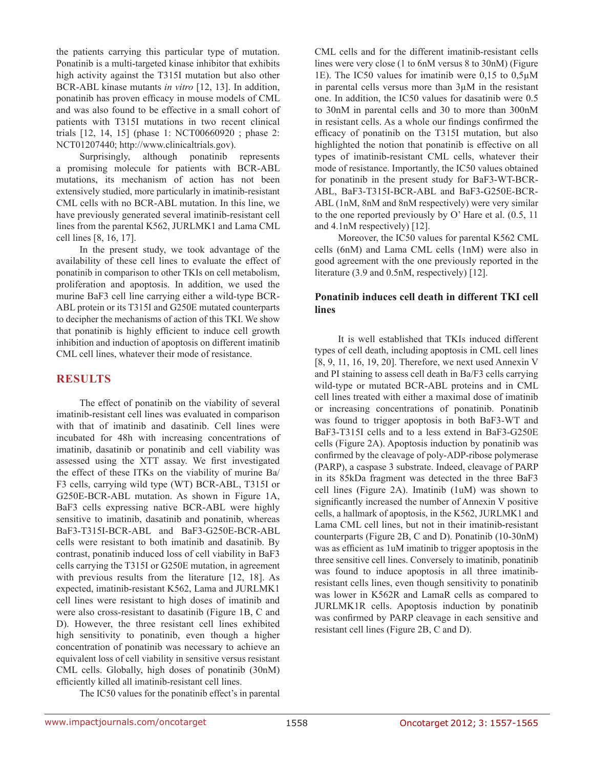the patients carrying this particular type of mutation. Ponatinib is a multi-targeted kinase inhibitor that exhibits high activity against the T315I mutation but also other BCR-ABL kinase mutants *in vitro* [12, 13]. In addition, ponatinib has proven efficacy in mouse models of CML and was also found to be effective in a small cohort of patients with T315I mutations in two recent clinical trials [12, 14, 15] (phase 1: NCT00660920 ; phase 2: NCT01207440; http://www.clinicaltrials.gov).

Surprisingly, although ponatinib represents a promising molecule for patients with BCR-ABL mutations, its mechanism of action has not been extensively studied, more particularly in imatinib-resistant CML cells with no BCR-ABL mutation. In this line, we have previously generated several imatinib-resistant cell lines from the parental K562, JURLMK1 and Lama CML cell lines [8, 16, 17].

In the present study, we took advantage of the availability of these cell lines to evaluate the effect of ponatinib in comparison to other TKIs on cell metabolism, proliferation and apoptosis. In addition, we used the murine BaF3 cell line carrying either a wild-type BCR-ABL protein or its T315I and G250E mutated counterparts to decipher the mechanisms of action of this TKI. We show that ponatinib is highly efficient to induce cell growth inhibition and induction of apoptosis on different imatinib CML cell lines, whatever their mode of resistance.

## **RESULTS**

The effect of ponatinib on the viability of several imatinib-resistant cell lines was evaluated in comparison with that of imatinib and dasatinib. Cell lines were incubated for 48h with increasing concentrations of imatinib, dasatinib or ponatinib and cell viability was assessed using the XTT assay. We first investigated the effect of these ITKs on the viability of murine Ba/ F3 cells, carrying wild type (WT) BCR-ABL, T315I or G250E-BCR-ABL mutation. As shown in Figure 1A, BaF3 cells expressing native BCR-ABL were highly sensitive to imatinib, dasatinib and ponatinib, whereas BaF3-T315I-BCR-ABL and BaF3-G250E-BCR-ABL cells were resistant to both imatinib and dasatinib. By contrast, ponatinib induced loss of cell viability in BaF3 cells carrying the T315I or G250E mutation, in agreement with previous results from the literature [12, 18]. As expected, imatinib-resistant K562, Lama and JURLMK1 cell lines were resistant to high doses of imatinib and were also cross-resistant to dasatinib (Figure 1B, C and D). However, the three resistant cell lines exhibited high sensitivity to ponatinib, even though a higher concentration of ponatinib was necessary to achieve an equivalent loss of cell viability in sensitive versus resistant CML cells. Globally, high doses of ponatinib (30nM) efficiently killed all imatinib-resistant cell lines.

The IC50 values for the ponatinib effect's in parental

CML cells and for the different imatinib-resistant cells lines were very close (1 to 6nM versus 8 to 30nM) (Figure 1E). The IC50 values for imatinib were 0,15 to 0,5µM in parental cells versus more than 3µM in the resistant one. In addition, the IC50 values for dasatinib were 0.5 to 30nM in parental cells and 30 to more than 300nM in resistant cells. As a whole our findings confirmed the efficacy of ponatinib on the T315I mutation, but also highlighted the notion that ponatinib is effective on all types of imatinib-resistant CML cells, whatever their mode of resistance. Importantly, the IC50 values obtained for ponatinib in the present study for BaF3-WT-BCR-ABL, BaF3-T315I-BCR-ABL and BaF3-G250E-BCR-ABL (1nM, 8nM and 8nM respectively) were very similar to the one reported previously by O' Hare et al. (0.5, 11 and 4.1nM respectively) [12].

Moreover, the IC50 values for parental K562 CML cells (6nM) and Lama CML cells (1nM) were also in good agreement with the one previously reported in the literature (3.9 and 0.5nM, respectively) [12].

#### **Ponatinib induces cell death in different TKI cell lines**

It is well established that TKIs induced different types of cell death, including apoptosis in CML cell lines [8, 9, 11, 16, 19, 20]. Therefore, we next used Annexin V and PI staining to assess cell death in Ba/F3 cells carrying wild-type or mutated BCR-ABL proteins and in CML cell lines treated with either a maximal dose of imatinib or increasing concentrations of ponatinib. Ponatinib was found to trigger apoptosis in both BaF3-WT and BaF3-T315I cells and to a less extend in BaF3-G250E cells (Figure 2A). Apoptosis induction by ponatinib was confirmed by the cleavage of poly-ADP-ribose polymerase (PARP), a caspase 3 substrate. Indeed, cleavage of PARP in its 85kDa fragment was detected in the three BaF3 cell lines (Figure 2A). Imatinib (1uM) was shown to significantly increased the number of Annexin V positive cells, a hallmark of apoptosis, in the K562, JURLMK1 and Lama CML cell lines, but not in their imatinib-resistant counterparts (Figure 2B, C and D). Ponatinib (10-30nM) was as efficient as 1uM imatinib to trigger apoptosis in the three sensitive cell lines. Conversely to imatinib, ponatinib was found to induce apoptosis in all three imatinibresistant cells lines, even though sensitivity to ponatinib was lower in K562R and LamaR cells as compared to JURLMK1R cells. Apoptosis induction by ponatinib was confirmed by PARP cleavage in each sensitive and resistant cell lines (Figure 2B, C and D).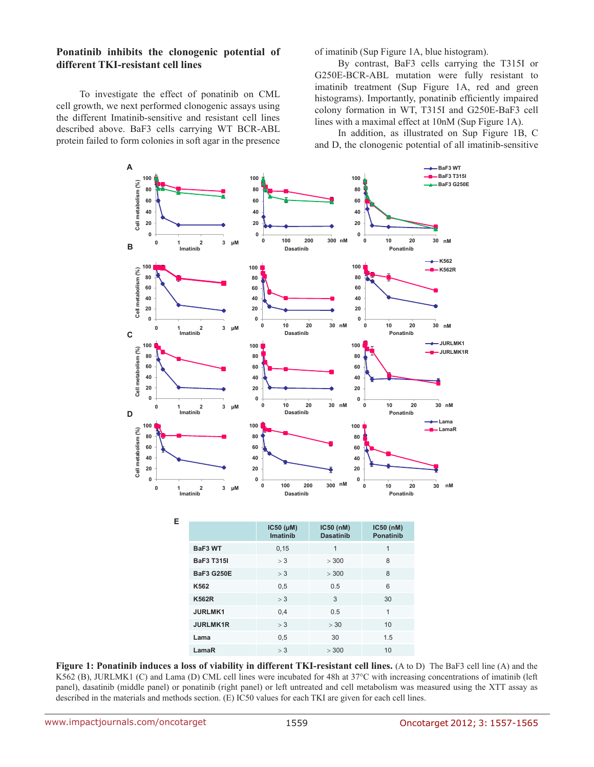#### **Ponatinib inhibits the clonogenic potential of different TKI-resistant cell lines**

To investigate the effect of ponatinib on CML cell growth, we next performed clonogenic assays using the different Imatinib-sensitive and resistant cell lines described above. BaF3 cells carrying WT BCR-ABL protein failed to form colonies in soft agar in the presence of imatinib (Sup Figure 1A, blue histogram).

By contrast, BaF3 cells carrying the T315I or G250E-BCR-ABL mutation were fully resistant to imatinib treatment (Sup Figure 1A, red and green histograms). Importantly, ponatinib efficiently impaired colony formation in WT, T315I and G250E-BaF3 cell lines with a maximal effect at 10nM (Sup Figure 1A).

In addition, as illustrated on Sup Figure 1B, C and D, the clonogenic potential of all imatinib-sensitive



**Figure 1: Ponatinib induces a loss of viability in different TKI-resistant cell lines.** (A to D) The BaF3 cell line (A) and the K562 (B), JURLMK1 (C) and Lama (D) CML cell lines were incubated for 48h at 37°C with increasing concentrations of imatinib (left panel), dasatinib (middle panel) or ponatinib (right panel) or left untreated and cell metabolism was measured using the XTT assay as described in the materials and methods section. (E) IC50 values for each TKI are given for each cell lines.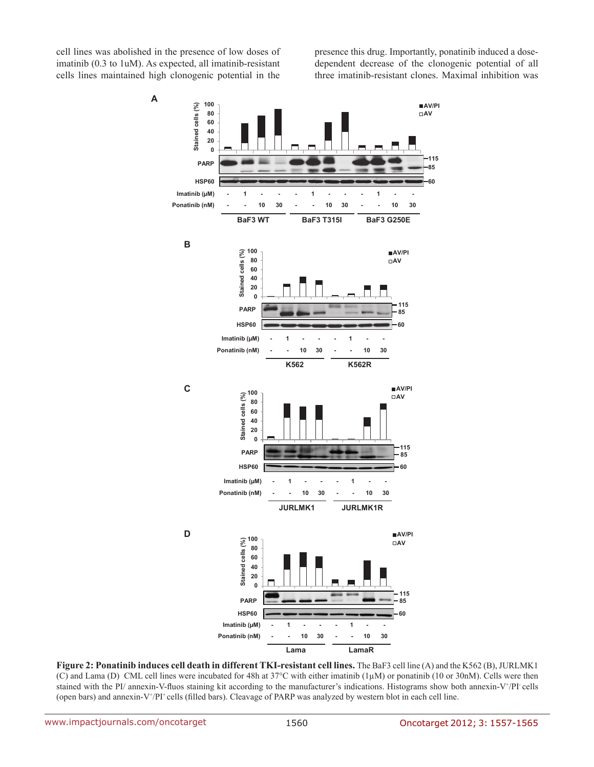cell lines was abolished in the presence of low doses of imatinib (0.3 to 1uM). As expected, all imatinib-resistant cells lines maintained high clonogenic potential in the presence this drug. Importantly, ponatinib induced a dosedependent decrease of the clonogenic potential of all three imatinib-resistant clones. Maximal inhibition was



**Figure 2: Ponatinib induces cell death in different TKI-resistant cell lines.** The BaF3 cell line (A) and the K562 (B), JURLMK1 (C) and Lama (D) CML cell lines were incubated for 48h at  $37^{\circ}$ C with either imatinib (1 $\mu$ M) or ponatinib (10 or 30nM). Cells were then stained with the PI/ annexin-V-fluos staining kit according to the manufacturer's indications. Histograms show both annexin-V+/PI cells (open bars) and annexin-V<sup>+</sup>/PI<sup>+</sup> cells (filled bars). Cleavage of PARP was analyzed by western blot in each cell line.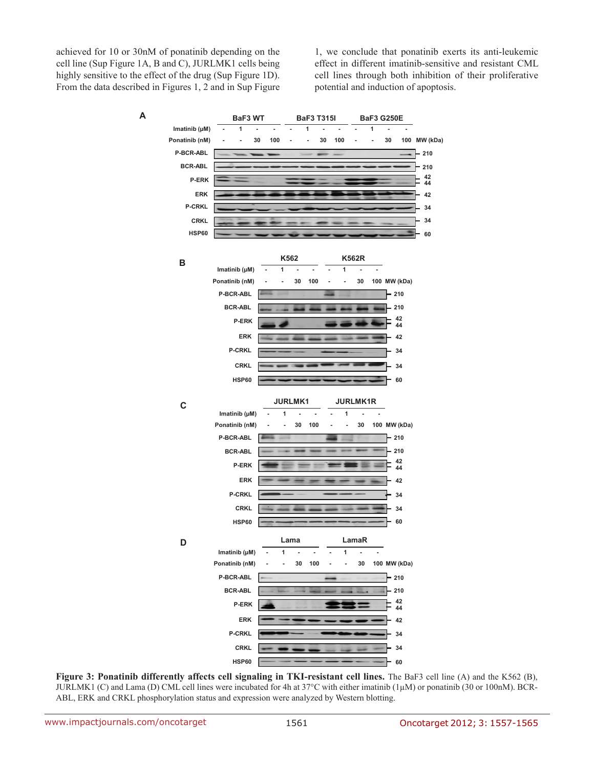achieved for 10 or 30nM of ponatinib depending on the cell line (Sup Figure 1A, B and C), JURLMK1 cells being highly sensitive to the effect of the drug (Sup Figure 1D). From the data described in Figures 1, 2 and in Sup Figure 1, we conclude that ponatinib exerts its anti-leukemic effect in different imatinib-sensitive and resistant CML cell lines through both inhibition of their proliferative potential and induction of apoptosis.



**Figure 3: Ponatinib differently affects cell signaling in TKI-resistant cell lines.** The BaF3 cell line (A) and the K562 (B), JURLMK1 (C) and Lama (D) CML cell lines were incubated for 4h at  $37^{\circ}$ C with either imatinib (1µM) or ponatinib (30 or 100nM). BCR-ABL, ERK and CRKL phosphorylation status and expression were analyzed by Western blotting.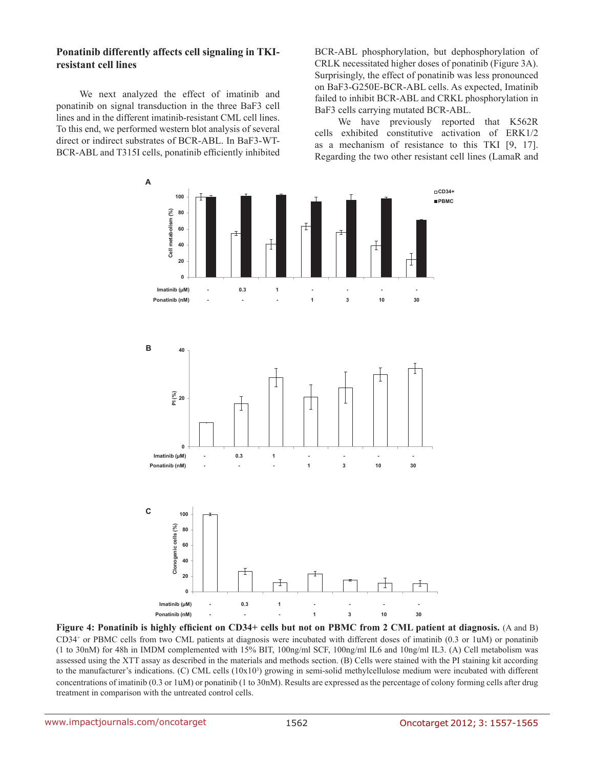#### **Ponatinib differently affects cell signaling in TKIresistant cell lines**

We next analyzed the effect of imatinib and ponatinib on signal transduction in the three BaF3 cell lines and in the different imatinib-resistant CML cell lines. To this end, we performed western blot analysis of several direct or indirect substrates of BCR-ABL. In BaF3-WT-BCR-ABL and T315I cells, ponatinib efficiently inhibited BCR-ABL phosphorylation, but dephosphorylation of CRLK necessitated higher doses of ponatinib (Figure 3A). Surprisingly, the effect of ponatinib was less pronounced on BaF3-G250E-BCR-ABL cells. As expected, Imatinib failed to inhibit BCR-ABL and CRKL phosphorylation in BaF3 cells carrying mutated BCR-ABL.

We have previously reported that K562R cells exhibited constitutive activation of ERK1/2 as a mechanism of resistance to this TKI [9, 17]. Regarding the two other resistant cell lines (LamaR and



**Figure 4: Ponatinib is highly efficient on CD34+ cells but not on PBMC from 2 CML patient at diagnosis.** (A and B) CD34+ or PBMC cells from two CML patients at diagnosis were incubated with different doses of imatinib (0.3 or 1uM) or ponatinib (1 to 30nM) for 48h in IMDM complemented with 15% BIT, 100ng/ml SCF, 100ng/ml IL6 and 10ng/ml IL3. (A) Cell metabolism was assessed using the XTT assay as described in the materials and methods section. (B) Cells were stained with the PI staining kit according to the manufacturer's indications. (C) CML cells  $(10x10<sup>3</sup>)$  growing in semi-solid methylcellulose medium were incubated with different concentrations of imatinib (0.3 or 1uM) or ponatinib (1 to 30nM). Results are expressed as the percentage of colony forming cells after drug treatment in comparison with the untreated control cells.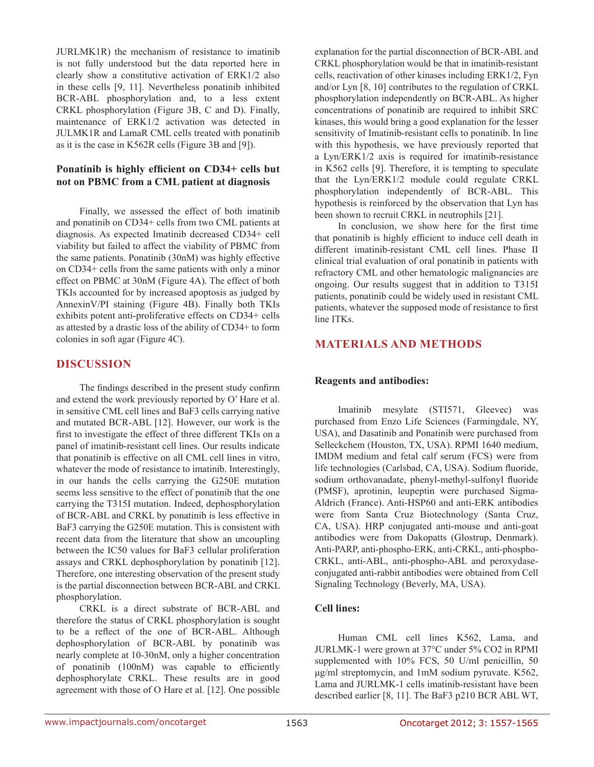JURLMK1R) the mechanism of resistance to imatinib is not fully understood but the data reported here in clearly show a constitutive activation of ERK1/2 also in these cells [9, 11]. Nevertheless ponatinib inhibited BCR-ABL phosphorylation and, to a less extent CRKL phosphorylation (Figure 3B, C and D). Finally, maintenance of ERK1/2 activation was detected in JULMK1R and LamaR CML cells treated with ponatinib as it is the case in K562R cells (Figure 3B and [9]).

#### **Ponatinib is highly efficient on CD34+ cells but not on PBMC from a CML patient at diagnosis**

Finally, we assessed the effect of both imatinib and ponatinib on CD34+ cells from two CML patients at diagnosis. As expected Imatinib decreased CD34+ cell viability but failed to affect the viability of PBMC from the same patients. Ponatinib (30nM) was highly effective on CD34+ cells from the same patients with only a minor effect on PBMC at 30nM (Figure 4A). The effect of both TKIs accounted for by increased apoptosis as judged by AnnexinV/PI staining (Figure 4B). Finally both TKIs exhibits potent anti-proliferative effects on CD34+ cells as attested by a drastic loss of the ability of CD34+ to form colonies in soft agar (Figure 4C).

## **DISCUSSION**

The findings described in the present study confirm and extend the work previously reported by O' Hare et al. in sensitive CML cell lines and BaF3 cells carrying native and mutated BCR-ABL [12]. However, our work is the first to investigate the effect of three different TKIs on a panel of imatinib-resistant cell lines. Our results indicate that ponatinib is effective on all CML cell lines in vitro, whatever the mode of resistance to imatinib. Interestingly, in our hands the cells carrying the G250E mutation seems less sensitive to the effect of ponatinib that the one carrying the T315I mutation. Indeed, dephosphorylation of BCR-ABL and CRKL by ponatinib is less effective in BaF3 carrying the G250E mutation. This is consistent with recent data from the literature that show an uncoupling between the IC50 values for BaF3 cellular proliferation assays and CRKL dephosphorylation by ponatinib [12]. Therefore, one interesting observation of the present study is the partial disconnection between BCR-ABL and CRKL phosphorylation.

CRKL is a direct substrate of BCR-ABL and therefore the status of CRKL phosphorylation is sought to be a reflect of the one of BCR-ABL. Although dephosphorylation of BCR-ABL by ponatinib was nearly complete at 10-30nM, only a higher concentration of ponatinib (100nM) was capable to efficiently dephosphorylate CRKL. These results are in good agreement with those of O Hare et al. [12]. One possible explanation for the partial disconnection of BCR-ABL and CRKL phosphorylation would be that in imatinib-resistant cells, reactivation of other kinases including ERK1/2, Fyn and/or Lyn [8, 10] contributes to the regulation of CRKL phosphorylation independently on BCR-ABL. As higher concentrations of ponatinib are required to inhibit SRC kinases, this would bring a good explanation for the lesser sensitivity of Imatinib-resistant cells to ponatinib. In line with this hypothesis, we have previously reported that a Lyn/ERK1/2 axis is required for imatinib-resistance in K562 cells [9]. Therefore, it is tempting to speculate that the Lyn/ERK1/2 module could regulate CRKL phosphorylation independently of BCR-ABL. This hypothesis is reinforced by the observation that Lyn has been shown to recruit CRKL in neutrophils [21].

In conclusion, we show here for the first time that ponatinib is highly efficient to induce cell death in different imatinib-resistant CML cell lines. Phase II clinical trial evaluation of oral ponatinib in patients with refractory CML and other hematologic malignancies are ongoing. Our results suggest that in addition to T315I patients, ponatinib could be widely used in resistant CML patients, whatever the supposed mode of resistance to first line ITKs.

# **MATERIALS AND METHODS**

#### **Reagents and antibodies:**

Imatinib mesylate (STI571, Gleevec) was purchased from Enzo Life Sciences (Farmingdale, NY, USA), and Dasatinib and Ponatinib were purchased from Selleckchem (Houston, TX, USA). RPMI 1640 medium, IMDM medium and fetal calf serum (FCS) were from life technologies (Carlsbad, CA, USA). Sodium fluoride, sodium orthovanadate, phenyl-methyl-sulfonyl fluoride (PMSF), aprotinin, leupeptin were purchased Sigma-Aldrich (France). Anti-HSP60 and anti-ERK antibodies were from Santa Cruz Biotechnology (Santa Cruz, CA, USA). HRP conjugated anti-mouse and anti-goat antibodies were from Dakopatts (Glostrup, Denmark). Anti-PARP, anti-phospho-ERK, anti-CRKL, anti-phospho-CRKL, anti-ABL, anti-phospho-ABL and peroxydaseconjugated anti-rabbit antibodies were obtained from Cell Signaling Technology (Beverly, MA, USA).

#### **Cell lines:**

Human CML cell lines K562, Lama, and JURLMK-1 were grown at 37°C under 5% CO2 in RPMI supplemented with 10% FCS, 50 U/ml penicillin, 50 μg/ml streptomycin, and 1mM sodium pyruvate. K562, Lama and JURLMK-1 cells imatinib-resistant have been described earlier [8, 11]. The BaF3 p210 BCR ABL WT,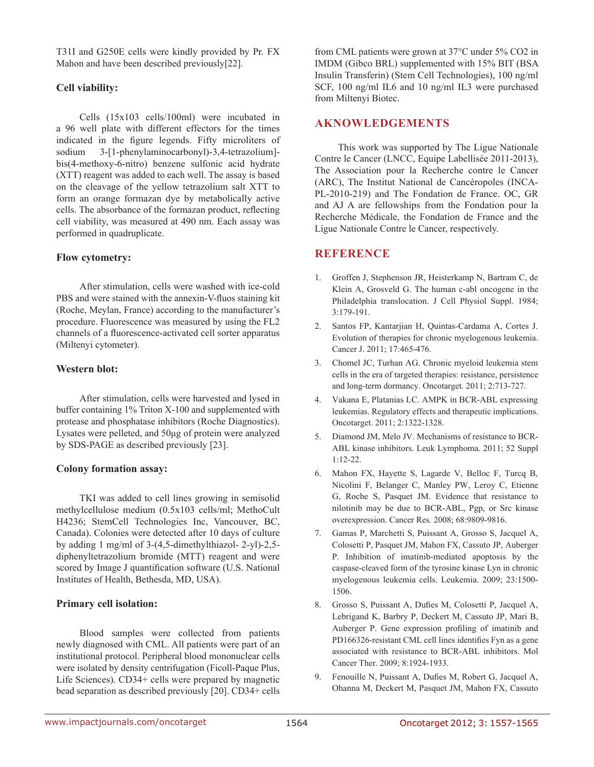T31I and G250E cells were kindly provided by Pr. FX Mahon and have been described previously[22].

# **Cell viability:**

Cells (15x103 cells/100ml) were incubated in a 96 well plate with different effectors for the times indicated in the figure legends. Fifty microliters of sodium 3-[1-phenylaminocarbonyl)-3,4-tetrazolium] bis(4-methoxy-6-nitro) benzene sulfonic acid hydrate (XTT) reagent was added to each well. The assay is based on the cleavage of the yellow tetrazolium salt XTT to form an orange formazan dye by metabolically active cells. The absorbance of the formazan product, reflecting cell viability, was measured at 490 nm. Each assay was performed in quadruplicate.

#### **Flow cytometry:**

After stimulation, cells were washed with ice-cold PBS and were stained with the annexin-V-fluos staining kit (Roche, Meylan, France) according to the manufacturer's procedure. Fluorescence was measured by using the FL2 channels of a fluorescence-activated cell sorter apparatus (Miltenyi cytometer).

# **Western blot:**

After stimulation, cells were harvested and lysed in buffer containing 1% Triton X-100 and supplemented with protease and phosphatase inhibitors (Roche Diagnostics). Lysates were pelleted, and 50μg of protein were analyzed by SDS-PAGE as described previously [23].

#### **Colony formation assay:**

TKI was added to cell lines growing in semisolid methylcellulose medium (0.5x103 cells/ml; MethoCult H4236; StemCell Technologies Inc, Vancouver, BC, Canada). Colonies were detected after 10 days of culture by adding 1 mg/ml of 3-(4,5-dimethylthiazol- 2-yl)-2,5 diphenyltetrazolium bromide (MTT) reagent and were scored by Image J quantification software (U.S. National Institutes of Health, Bethesda, MD, USA).

#### **Primary cell isolation:**

Blood samples were collected from patients newly diagnosed with CML. All patients were part of an institutional protocol. Peripheral blood mononuclear cells were isolated by density centrifugation (Ficoll-Paque Plus, Life Sciences). CD34+ cells were prepared by magnetic bead separation as described previously [20]. CD34+ cells

from CML patients were grown at 37°C under 5% CO2 in IMDM (Gibco BRL) supplemented with 15% BIT (BSA Insulin Transferin) (Stem Cell Technologies), 100 ng/ml SCF, 100 ng/ml IL6 and 10 ng/ml IL3 were purchased from Miltenyi Biotec.

# **AKNOWLEDGEMENTS**

This work was supported by The Ligue Nationale Contre le Cancer (LNCC, Equipe Labellisée 2011-2013), The Association pour la Recherche contre le Cancer (ARC), The Institut National de Cancéropoles (INCA-PL-2010-219) and The Fondation de France. OC, GR and AJ A are fellowships from the Fondation pour la Recherche Médicale, the Fondation de France and the Ligue Nationale Contre le Cancer, respectively.

## **REFERENCE**

- 1. Groffen J, Stephenson JR, Heisterkamp N, Bartram C, de Klein A, Grosveld G. The human c-abl oncogene in the Philadelphia translocation. J Cell Physiol Suppl. 1984; 3:179-191.
- 2. Santos FP, Kantarjian H, Quintas-Cardama A, Cortes J. Evolution of therapies for chronic myelogenous leukemia. Cancer J. 2011; 17:465-476.
- 3. Chomel JC, Turhan AG. Chronic myeloid leukemia stem cells in the era of targeted therapies: resistance, persistence and long-term dormancy. Oncotarget. 2011; 2:713-727.
- 4. Vakana E, Platanias LC. AMPK in BCR-ABL expressing leukemias. Regulatory effects and therapeutic implications. Oncotarget. 2011; 2:1322-1328.
- 5. Diamond JM, Melo JV. Mechanisms of resistance to BCR-ABL kinase inhibitors. Leuk Lymphoma. 2011; 52 Suppl 1:12-22.
- 6. Mahon FX, Hayette S, Lagarde V, Belloc F, Turcq B, Nicolini F, Belanger C, Manley PW, Leroy C, Etienne G, Roche S, Pasquet JM. Evidence that resistance to nilotinib may be due to BCR-ABL, Pgp, or Src kinase overexpression. Cancer Res. 2008; 68:9809-9816.
- 7. Gamas P, Marchetti S, Puissant A, Grosso S, Jacquel A, Colosetti P, Pasquet JM, Mahon FX, Cassuto JP, Auberger P. Inhibition of imatinib-mediated apoptosis by the caspase-cleaved form of the tyrosine kinase Lyn in chronic myelogenous leukemia cells. Leukemia. 2009; 23:1500- 1506.
- 8. Grosso S, Puissant A, Dufies M, Colosetti P, Jacquel A, Lebrigand K, Barbry P, Deckert M, Cassuto JP, Mari B, Auberger P. Gene expression profiling of imatinib and PD166326-resistant CML cell lines identifies Fyn as a gene associated with resistance to BCR-ABL inhibitors. Mol Cancer Ther. 2009; 8:1924-1933.
- 9. Fenouille N, Puissant A, Dufies M, Robert G, Jacquel A, Ohanna M, Deckert M, Pasquet JM, Mahon FX, Cassuto